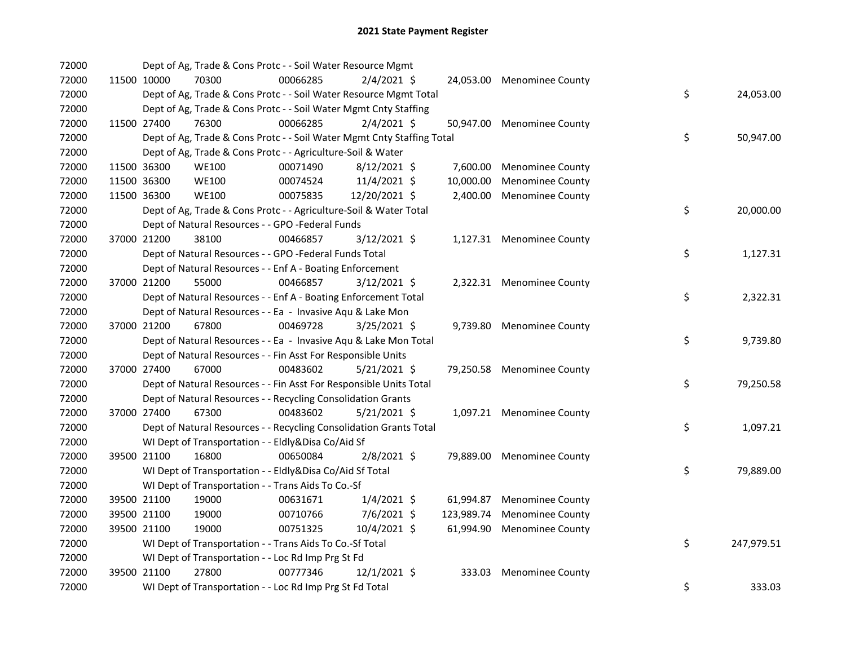| 72000 |             | Dept of Ag, Trade & Cons Protc - - Soil Water Resource Mgmt            |          |                |            |                            |    |            |
|-------|-------------|------------------------------------------------------------------------|----------|----------------|------------|----------------------------|----|------------|
| 72000 | 11500 10000 | 70300                                                                  | 00066285 | $2/4/2021$ \$  |            | 24,053.00 Menominee County |    |            |
| 72000 |             | Dept of Ag, Trade & Cons Protc - - Soil Water Resource Mgmt Total      |          |                |            |                            | \$ | 24,053.00  |
| 72000 |             | Dept of Ag, Trade & Cons Protc - - Soil Water Mgmt Cnty Staffing       |          |                |            |                            |    |            |
| 72000 | 11500 27400 | 76300                                                                  | 00066285 | $2/4/2021$ \$  |            | 50,947.00 Menominee County |    |            |
| 72000 |             | Dept of Ag, Trade & Cons Protc - - Soil Water Mgmt Cnty Staffing Total |          |                |            |                            | \$ | 50,947.00  |
| 72000 |             | Dept of Ag, Trade & Cons Protc - - Agriculture-Soil & Water            |          |                |            |                            |    |            |
| 72000 | 11500 36300 | <b>WE100</b>                                                           | 00071490 | $8/12/2021$ \$ | 7,600.00   | <b>Menominee County</b>    |    |            |
| 72000 | 11500 36300 | <b>WE100</b>                                                           | 00074524 | 11/4/2021 \$   | 10,000.00  | <b>Menominee County</b>    |    |            |
| 72000 | 11500 36300 | <b>WE100</b>                                                           | 00075835 | 12/20/2021 \$  | 2,400.00   | <b>Menominee County</b>    |    |            |
| 72000 |             | Dept of Ag, Trade & Cons Protc - - Agriculture-Soil & Water Total      |          |                |            |                            | \$ | 20,000.00  |
| 72000 |             | Dept of Natural Resources - - GPO -Federal Funds                       |          |                |            |                            |    |            |
| 72000 | 37000 21200 | 38100                                                                  | 00466857 | 3/12/2021 \$   |            | 1,127.31 Menominee County  |    |            |
| 72000 |             | Dept of Natural Resources - - GPO -Federal Funds Total                 |          |                |            |                            | \$ | 1,127.31   |
| 72000 |             | Dept of Natural Resources - - Enf A - Boating Enforcement              |          |                |            |                            |    |            |
| 72000 | 37000 21200 | 55000                                                                  | 00466857 | $3/12/2021$ \$ |            | 2,322.31 Menominee County  |    |            |
| 72000 |             | Dept of Natural Resources - - Enf A - Boating Enforcement Total        |          |                |            |                            | \$ | 2,322.31   |
| 72000 |             | Dept of Natural Resources - - Ea - Invasive Aqu & Lake Mon             |          |                |            |                            |    |            |
| 72000 | 37000 21200 | 67800                                                                  | 00469728 | $3/25/2021$ \$ |            | 9,739.80 Menominee County  |    |            |
| 72000 |             | Dept of Natural Resources - - Ea - Invasive Aqu & Lake Mon Total       |          |                |            |                            | \$ | 9,739.80   |
| 72000 |             | Dept of Natural Resources - - Fin Asst For Responsible Units           |          |                |            |                            |    |            |
| 72000 | 37000 27400 | 67000                                                                  | 00483602 | $5/21/2021$ \$ |            | 79,250.58 Menominee County |    |            |
| 72000 |             | Dept of Natural Resources - - Fin Asst For Responsible Units Total     |          |                |            |                            | \$ | 79,250.58  |
| 72000 |             | Dept of Natural Resources - - Recycling Consolidation Grants           |          |                |            |                            |    |            |
| 72000 | 37000 27400 | 67300                                                                  | 00483602 | $5/21/2021$ \$ |            | 1,097.21 Menominee County  |    |            |
| 72000 |             | Dept of Natural Resources - - Recycling Consolidation Grants Total     |          |                |            |                            | \$ | 1,097.21   |
| 72000 |             | WI Dept of Transportation - - Eldly&Disa Co/Aid Sf                     |          |                |            |                            |    |            |
| 72000 | 39500 21100 | 16800                                                                  | 00650084 | 2/8/2021 \$    |            | 79,889.00 Menominee County |    |            |
| 72000 |             | WI Dept of Transportation - - Eldly&Disa Co/Aid Sf Total               |          |                |            |                            | \$ | 79,889.00  |
| 72000 |             | WI Dept of Transportation - - Trans Aids To Co.-Sf                     |          |                |            |                            |    |            |
| 72000 | 39500 21100 | 19000                                                                  | 00631671 | $1/4/2021$ \$  | 61,994.87  | <b>Menominee County</b>    |    |            |
| 72000 | 39500 21100 | 19000                                                                  | 00710766 | 7/6/2021 \$    | 123,989.74 | <b>Menominee County</b>    |    |            |
| 72000 | 39500 21100 | 19000                                                                  | 00751325 | 10/4/2021 \$   | 61,994.90  | <b>Menominee County</b>    |    |            |
| 72000 |             | WI Dept of Transportation - - Trans Aids To Co.-Sf Total               |          |                |            |                            | \$ | 247,979.51 |
| 72000 |             | WI Dept of Transportation - - Loc Rd Imp Prg St Fd                     |          |                |            |                            |    |            |
| 72000 | 39500 21100 | 27800                                                                  | 00777346 | 12/1/2021 \$   |            | 333.03 Menominee County    |    |            |
| 72000 |             | WI Dept of Transportation - - Loc Rd Imp Prg St Fd Total               |          |                |            |                            | \$ | 333.03     |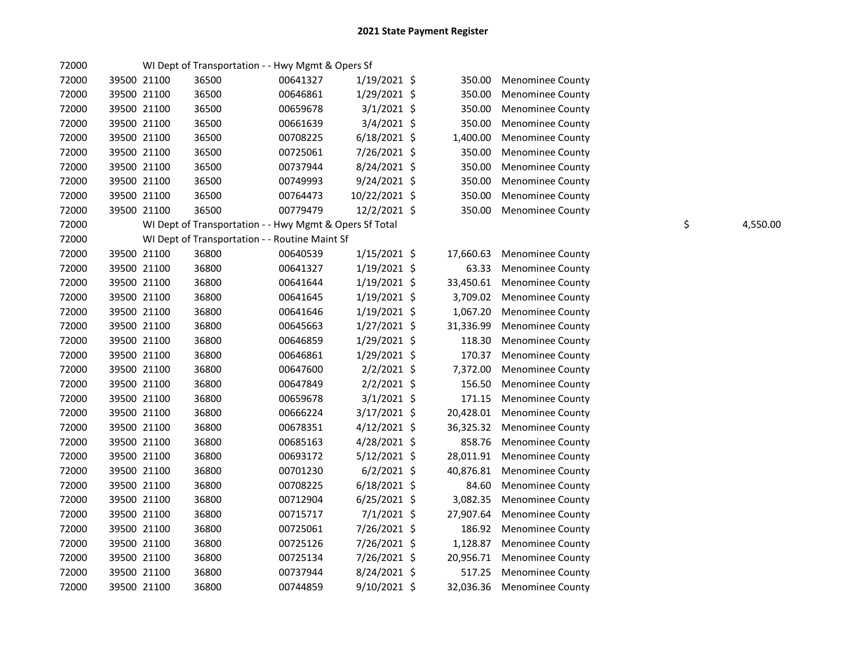| 72000 |             | WI Dept of Transportation - - Hwy Mgmt & Opers Sf       |          |                |           |                            |    |          |
|-------|-------------|---------------------------------------------------------|----------|----------------|-----------|----------------------------|----|----------|
| 72000 | 39500 21100 | 36500                                                   | 00641327 | $1/19/2021$ \$ | 350.00    | <b>Menominee County</b>    |    |          |
| 72000 | 39500 21100 | 36500                                                   | 00646861 | $1/29/2021$ \$ | 350.00    | <b>Menominee County</b>    |    |          |
| 72000 | 39500 21100 | 36500                                                   | 00659678 | $3/1/2021$ \$  | 350.00    | <b>Menominee County</b>    |    |          |
| 72000 | 39500 21100 | 36500                                                   | 00661639 | $3/4/2021$ \$  | 350.00    | <b>Menominee County</b>    |    |          |
| 72000 | 39500 21100 | 36500                                                   | 00708225 | $6/18/2021$ \$ | 1,400.00  | <b>Menominee County</b>    |    |          |
| 72000 | 39500 21100 | 36500                                                   | 00725061 | 7/26/2021 \$   | 350.00    | <b>Menominee County</b>    |    |          |
| 72000 | 39500 21100 | 36500                                                   | 00737944 | 8/24/2021 \$   | 350.00    | <b>Menominee County</b>    |    |          |
| 72000 | 39500 21100 | 36500                                                   | 00749993 | 9/24/2021 \$   | 350.00    | <b>Menominee County</b>    |    |          |
| 72000 | 39500 21100 | 36500                                                   | 00764473 | 10/22/2021 \$  | 350.00    | <b>Menominee County</b>    |    |          |
| 72000 | 39500 21100 | 36500                                                   | 00779479 | 12/2/2021 \$   | 350.00    | <b>Menominee County</b>    |    |          |
| 72000 |             | WI Dept of Transportation - - Hwy Mgmt & Opers Sf Total |          |                |           |                            | \$ | 4,550.00 |
| 72000 |             | WI Dept of Transportation - - Routine Maint Sf          |          |                |           |                            |    |          |
| 72000 | 39500 21100 | 36800                                                   | 00640539 | $1/15/2021$ \$ | 17,660.63 | <b>Menominee County</b>    |    |          |
| 72000 | 39500 21100 | 36800                                                   | 00641327 | 1/19/2021 \$   | 63.33     | <b>Menominee County</b>    |    |          |
| 72000 | 39500 21100 | 36800                                                   | 00641644 | 1/19/2021 \$   | 33,450.61 | Menominee County           |    |          |
| 72000 | 39500 21100 | 36800                                                   | 00641645 | 1/19/2021 \$   | 3,709.02  | <b>Menominee County</b>    |    |          |
| 72000 | 39500 21100 | 36800                                                   | 00641646 | $1/19/2021$ \$ | 1,067.20  | <b>Menominee County</b>    |    |          |
| 72000 | 39500 21100 | 36800                                                   | 00645663 | $1/27/2021$ \$ | 31,336.99 | <b>Menominee County</b>    |    |          |
| 72000 | 39500 21100 | 36800                                                   | 00646859 | $1/29/2021$ \$ | 118.30    | <b>Menominee County</b>    |    |          |
| 72000 | 39500 21100 | 36800                                                   | 00646861 | 1/29/2021 \$   | 170.37    | <b>Menominee County</b>    |    |          |
| 72000 | 39500 21100 | 36800                                                   | 00647600 | $2/2/2021$ \$  | 7,372.00  | <b>Menominee County</b>    |    |          |
| 72000 | 39500 21100 | 36800                                                   | 00647849 | $2/2/2021$ \$  | 156.50    | <b>Menominee County</b>    |    |          |
| 72000 | 39500 21100 | 36800                                                   | 00659678 | $3/1/2021$ \$  | 171.15    | <b>Menominee County</b>    |    |          |
| 72000 | 39500 21100 | 36800                                                   | 00666224 | $3/17/2021$ \$ | 20,428.01 | <b>Menominee County</b>    |    |          |
| 72000 | 39500 21100 | 36800                                                   | 00678351 | $4/12/2021$ \$ | 36,325.32 | <b>Menominee County</b>    |    |          |
| 72000 | 39500 21100 | 36800                                                   | 00685163 | $4/28/2021$ \$ | 858.76    | <b>Menominee County</b>    |    |          |
| 72000 | 39500 21100 | 36800                                                   | 00693172 | $5/12/2021$ \$ |           | 28,011.91 Menominee County |    |          |
| 72000 | 39500 21100 | 36800                                                   | 00701230 | $6/2/2021$ \$  | 40,876.81 | <b>Menominee County</b>    |    |          |
| 72000 | 39500 21100 | 36800                                                   | 00708225 | $6/18/2021$ \$ | 84.60     | <b>Menominee County</b>    |    |          |
| 72000 | 39500 21100 | 36800                                                   | 00712904 | $6/25/2021$ \$ | 3,082.35  | <b>Menominee County</b>    |    |          |
| 72000 | 39500 21100 | 36800                                                   | 00715717 | $7/1/2021$ \$  | 27,907.64 | <b>Menominee County</b>    |    |          |
| 72000 | 39500 21100 | 36800                                                   | 00725061 | 7/26/2021 \$   | 186.92    | <b>Menominee County</b>    |    |          |
| 72000 | 39500 21100 | 36800                                                   | 00725126 | 7/26/2021 \$   | 1,128.87  | <b>Menominee County</b>    |    |          |
| 72000 | 39500 21100 | 36800                                                   | 00725134 | 7/26/2021 \$   | 20,956.71 | <b>Menominee County</b>    |    |          |
| 72000 | 39500 21100 | 36800                                                   | 00737944 | 8/24/2021 \$   | 517.25    | <b>Menominee County</b>    |    |          |
| 72000 | 39500 21100 | 36800                                                   | 00744859 | 9/10/2021 \$   | 32,036.36 | <b>Menominee County</b>    |    |          |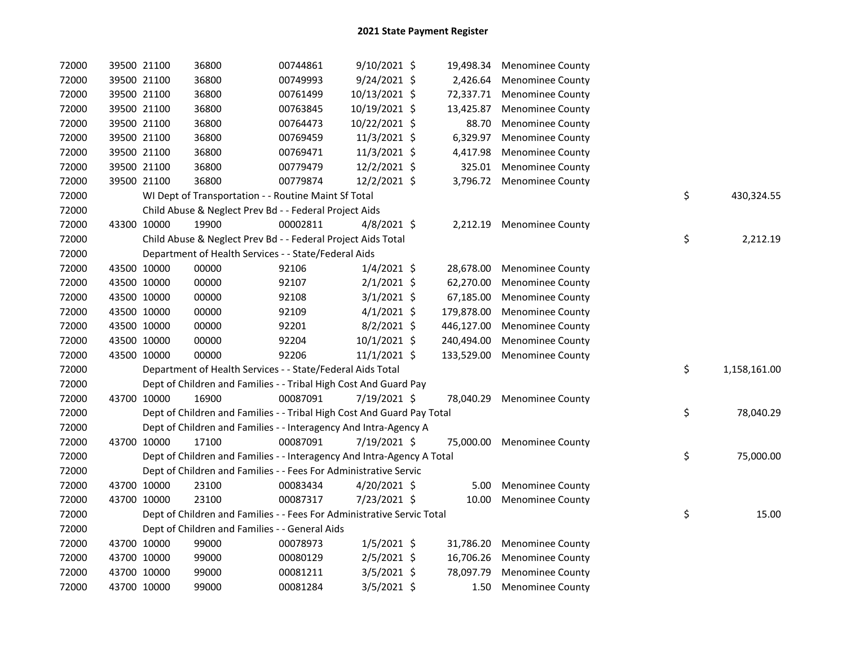| 72000 | 39500 21100 | 36800                                                                  | 00744861 | 9/10/2021 \$   |            | 19,498.34 Menominee County |    |              |
|-------|-------------|------------------------------------------------------------------------|----------|----------------|------------|----------------------------|----|--------------|
| 72000 | 39500 21100 | 36800                                                                  | 00749993 | 9/24/2021 \$   | 2,426.64   | <b>Menominee County</b>    |    |              |
| 72000 | 39500 21100 | 36800                                                                  | 00761499 | 10/13/2021 \$  | 72,337.71  | <b>Menominee County</b>    |    |              |
| 72000 | 39500 21100 | 36800                                                                  | 00763845 | 10/19/2021 \$  | 13,425.87  | <b>Menominee County</b>    |    |              |
| 72000 | 39500 21100 | 36800                                                                  | 00764473 | 10/22/2021 \$  | 88.70      | <b>Menominee County</b>    |    |              |
| 72000 | 39500 21100 | 36800                                                                  | 00769459 | 11/3/2021 \$   | 6,329.97   | Menominee County           |    |              |
| 72000 | 39500 21100 | 36800                                                                  | 00769471 | 11/3/2021 \$   | 4,417.98   | <b>Menominee County</b>    |    |              |
| 72000 | 39500 21100 | 36800                                                                  | 00779479 | 12/2/2021 \$   | 325.01     | <b>Menominee County</b>    |    |              |
| 72000 | 39500 21100 | 36800                                                                  | 00779874 | 12/2/2021 \$   | 3,796.72   | <b>Menominee County</b>    |    |              |
| 72000 |             | WI Dept of Transportation - - Routine Maint Sf Total                   |          |                |            |                            | \$ | 430,324.55   |
| 72000 |             | Child Abuse & Neglect Prev Bd - - Federal Project Aids                 |          |                |            |                            |    |              |
| 72000 | 43300 10000 | 19900                                                                  | 00002811 | 4/8/2021 \$    |            | 2,212.19 Menominee County  |    |              |
| 72000 |             | Child Abuse & Neglect Prev Bd - - Federal Project Aids Total           |          |                |            |                            | \$ | 2,212.19     |
| 72000 |             | Department of Health Services - - State/Federal Aids                   |          |                |            |                            |    |              |
| 72000 | 43500 10000 | 00000                                                                  | 92106    | $1/4/2021$ \$  | 28,678.00  | <b>Menominee County</b>    |    |              |
| 72000 | 43500 10000 | 00000                                                                  | 92107    | $2/1/2021$ \$  | 62,270.00  | <b>Menominee County</b>    |    |              |
| 72000 | 43500 10000 | 00000                                                                  | 92108    | $3/1/2021$ \$  | 67,185.00  | <b>Menominee County</b>    |    |              |
| 72000 | 43500 10000 | 00000                                                                  | 92109    | $4/1/2021$ \$  | 179,878.00 | <b>Menominee County</b>    |    |              |
| 72000 | 43500 10000 | 00000                                                                  | 92201    | 8/2/2021 \$    | 446,127.00 | <b>Menominee County</b>    |    |              |
| 72000 | 43500 10000 | 00000                                                                  | 92204    | 10/1/2021 \$   | 240,494.00 | <b>Menominee County</b>    |    |              |
| 72000 | 43500 10000 | 00000                                                                  | 92206    | $11/1/2021$ \$ | 133,529.00 | <b>Menominee County</b>    |    |              |
| 72000 |             | Department of Health Services - - State/Federal Aids Total             |          |                |            |                            | \$ | 1,158,161.00 |
| 72000 |             | Dept of Children and Families - - Tribal High Cost And Guard Pay       |          |                |            |                            |    |              |
| 72000 | 43700 10000 | 16900                                                                  | 00087091 | 7/19/2021 \$   |            | 78,040.29 Menominee County |    |              |
| 72000 |             | Dept of Children and Families - - Tribal High Cost And Guard Pay Total |          |                |            |                            | \$ | 78,040.29    |
| 72000 |             | Dept of Children and Families - - Interagency And Intra-Agency A       |          |                |            |                            |    |              |
| 72000 | 43700 10000 | 17100                                                                  | 00087091 | 7/19/2021 \$   |            | 75,000.00 Menominee County |    |              |
| 72000 |             | Dept of Children and Families - - Interagency And Intra-Agency A Total |          |                |            |                            | \$ | 75,000.00    |
| 72000 |             | Dept of Children and Families - - Fees For Administrative Servic       |          |                |            |                            |    |              |
| 72000 | 43700 10000 | 23100                                                                  | 00083434 | $4/20/2021$ \$ | 5.00       | <b>Menominee County</b>    |    |              |
| 72000 | 43700 10000 | 23100                                                                  | 00087317 | 7/23/2021 \$   | 10.00      | <b>Menominee County</b>    |    |              |
| 72000 |             | Dept of Children and Families - - Fees For Administrative Servic Total |          |                |            |                            | \$ | 15.00        |
| 72000 |             | Dept of Children and Families - - General Aids                         |          |                |            |                            |    |              |
| 72000 | 43700 10000 | 99000                                                                  | 00078973 | $1/5/2021$ \$  | 31,786.20  | <b>Menominee County</b>    |    |              |
| 72000 | 43700 10000 | 99000                                                                  | 00080129 | $2/5/2021$ \$  | 16,706.26  | <b>Menominee County</b>    |    |              |
| 72000 | 43700 10000 | 99000                                                                  | 00081211 | $3/5/2021$ \$  | 78,097.79  | <b>Menominee County</b>    |    |              |
| 72000 | 43700 10000 | 99000                                                                  | 00081284 | $3/5/2021$ \$  | 1.50       | <b>Menominee County</b>    |    |              |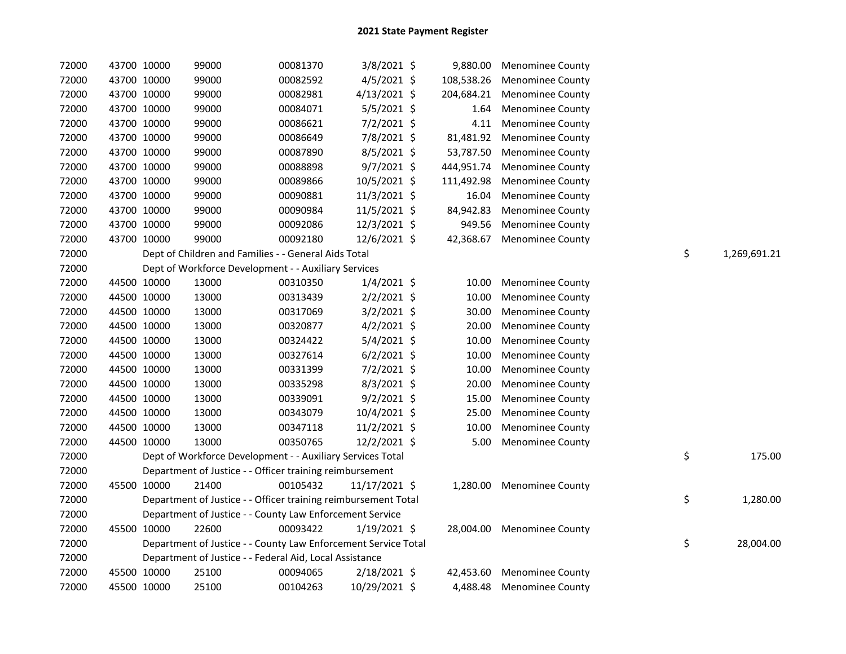| 72000 | 43700 10000 | 99000 | 00081370                                                       | 3/8/2021 \$    | 9,880.00   | <b>Menominee County</b>    |                    |
|-------|-------------|-------|----------------------------------------------------------------|----------------|------------|----------------------------|--------------------|
| 72000 | 43700 10000 | 99000 | 00082592                                                       | $4/5/2021$ \$  | 108,538.26 | <b>Menominee County</b>    |                    |
| 72000 | 43700 10000 | 99000 | 00082981                                                       | $4/13/2021$ \$ | 204,684.21 | <b>Menominee County</b>    |                    |
| 72000 | 43700 10000 | 99000 | 00084071                                                       | $5/5/2021$ \$  | 1.64       | <b>Menominee County</b>    |                    |
| 72000 | 43700 10000 | 99000 | 00086621                                                       | 7/2/2021 \$    | 4.11       | <b>Menominee County</b>    |                    |
| 72000 | 43700 10000 | 99000 | 00086649                                                       | 7/8/2021 \$    | 81,481.92  | <b>Menominee County</b>    |                    |
| 72000 | 43700 10000 | 99000 | 00087890                                                       | $8/5/2021$ \$  | 53,787.50  | <b>Menominee County</b>    |                    |
| 72000 | 43700 10000 | 99000 | 00088898                                                       | $9/7/2021$ \$  | 444,951.74 | <b>Menominee County</b>    |                    |
| 72000 | 43700 10000 | 99000 | 00089866                                                       | 10/5/2021 \$   | 111,492.98 | <b>Menominee County</b>    |                    |
| 72000 | 43700 10000 | 99000 | 00090881                                                       | 11/3/2021 \$   | 16.04      | <b>Menominee County</b>    |                    |
| 72000 | 43700 10000 | 99000 | 00090984                                                       | 11/5/2021 \$   | 84,942.83  | <b>Menominee County</b>    |                    |
| 72000 | 43700 10000 | 99000 | 00092086                                                       | 12/3/2021 \$   | 949.56     | <b>Menominee County</b>    |                    |
| 72000 | 43700 10000 | 99000 | 00092180                                                       | 12/6/2021 \$   | 42,368.67  | <b>Menominee County</b>    |                    |
| 72000 |             |       | Dept of Children and Families - - General Aids Total           |                |            |                            | \$<br>1,269,691.21 |
| 72000 |             |       | Dept of Workforce Development - - Auxiliary Services           |                |            |                            |                    |
| 72000 | 44500 10000 | 13000 | 00310350                                                       | $1/4/2021$ \$  | 10.00      | <b>Menominee County</b>    |                    |
| 72000 | 44500 10000 | 13000 | 00313439                                                       | $2/2/2021$ \$  | 10.00      | <b>Menominee County</b>    |                    |
| 72000 | 44500 10000 | 13000 | 00317069                                                       | $3/2/2021$ \$  | 30.00      | <b>Menominee County</b>    |                    |
| 72000 | 44500 10000 | 13000 | 00320877                                                       | $4/2/2021$ \$  | 20.00      | <b>Menominee County</b>    |                    |
| 72000 | 44500 10000 | 13000 | 00324422                                                       | $5/4/2021$ \$  | 10.00      | <b>Menominee County</b>    |                    |
| 72000 | 44500 10000 | 13000 | 00327614                                                       | $6/2/2021$ \$  | 10.00      | <b>Menominee County</b>    |                    |
| 72000 | 44500 10000 | 13000 | 00331399                                                       | 7/2/2021 \$    | 10.00      | <b>Menominee County</b>    |                    |
| 72000 | 44500 10000 | 13000 | 00335298                                                       | $8/3/2021$ \$  | 20.00      | <b>Menominee County</b>    |                    |
| 72000 | 44500 10000 | 13000 | 00339091                                                       | $9/2/2021$ \$  | 15.00      | <b>Menominee County</b>    |                    |
| 72000 | 44500 10000 | 13000 | 00343079                                                       | 10/4/2021 \$   | 25.00      | <b>Menominee County</b>    |                    |
| 72000 | 44500 10000 | 13000 | 00347118                                                       | 11/2/2021 \$   | 10.00      | <b>Menominee County</b>    |                    |
| 72000 | 44500 10000 | 13000 | 00350765                                                       | 12/2/2021 \$   | 5.00       | <b>Menominee County</b>    |                    |
| 72000 |             |       | Dept of Workforce Development - - Auxiliary Services Total     |                |            |                            | \$<br>175.00       |
| 72000 |             |       | Department of Justice - - Officer training reimbursement       |                |            |                            |                    |
| 72000 | 45500 10000 | 21400 | 00105432                                                       | 11/17/2021 \$  |            | 1,280.00 Menominee County  |                    |
| 72000 |             |       | Department of Justice - - Officer training reimbursement Total |                |            |                            | \$<br>1,280.00     |
| 72000 |             |       | Department of Justice - - County Law Enforcement Service       |                |            |                            |                    |
| 72000 | 45500 10000 | 22600 | 00093422                                                       | 1/19/2021 \$   |            | 28,004.00 Menominee County |                    |
| 72000 |             |       | Department of Justice - - County Law Enforcement Service Total |                |            |                            | \$<br>28,004.00    |
| 72000 |             |       | Department of Justice - - Federal Aid, Local Assistance        |                |            |                            |                    |
| 72000 | 45500 10000 | 25100 | 00094065                                                       | $2/18/2021$ \$ | 42,453.60  | <b>Menominee County</b>    |                    |
| 72000 | 45500 10000 | 25100 | 00104263                                                       | 10/29/2021 \$  | 4,488.48   | <b>Menominee County</b>    |                    |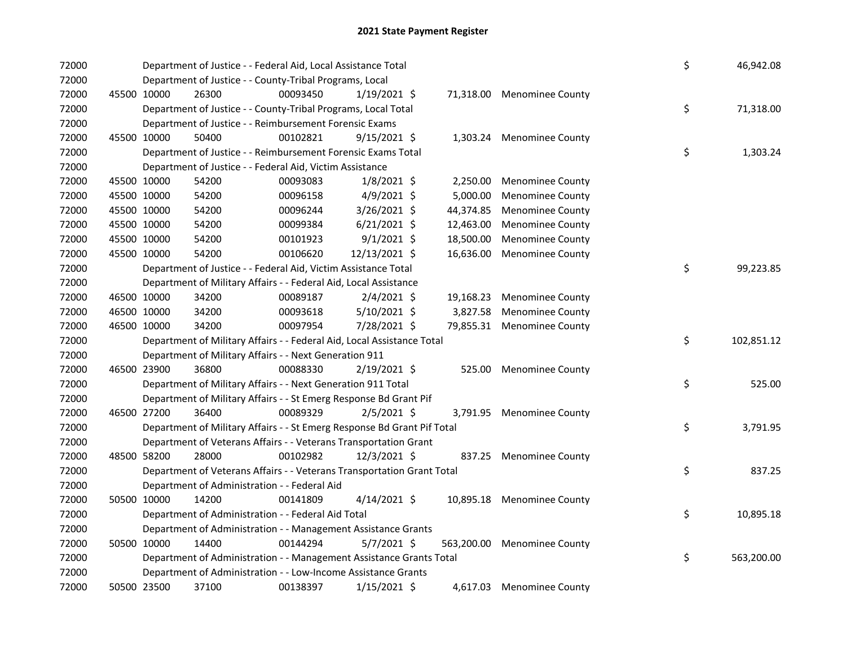| 72000          |             | Department of Justice - - Federal Aid, Local Assistance Total           |          |                |            |                            | \$ | 46,942.08  |
|----------------|-------------|-------------------------------------------------------------------------|----------|----------------|------------|----------------------------|----|------------|
| 72000<br>72000 |             | Department of Justice - - County-Tribal Programs, Local<br>26300        | 00093450 |                |            |                            |    |            |
| 72000          | 45500 10000 | Department of Justice - - County-Tribal Programs, Local Total           |          | $1/19/2021$ \$ |            | 71,318.00 Menominee County | \$ | 71,318.00  |
| 72000          |             | Department of Justice - - Reimbursement Forensic Exams                  |          |                |            |                            |    |            |
| 72000          | 45500 10000 | 50400                                                                   | 00102821 | $9/15/2021$ \$ |            | 1,303.24 Menominee County  |    |            |
| 72000          |             | Department of Justice - - Reimbursement Forensic Exams Total            |          |                |            |                            | \$ | 1,303.24   |
| 72000          |             | Department of Justice - - Federal Aid, Victim Assistance                |          |                |            |                            |    |            |
| 72000          | 45500 10000 | 54200                                                                   | 00093083 | $1/8/2021$ \$  | 2,250.00   | Menominee County           |    |            |
| 72000          | 45500 10000 | 54200                                                                   | 00096158 | $4/9/2021$ \$  | 5,000.00   | Menominee County           |    |            |
| 72000          | 45500 10000 | 54200                                                                   | 00096244 | 3/26/2021 \$   | 44,374.85  | Menominee County           |    |            |
| 72000          | 45500 10000 | 54200                                                                   | 00099384 | $6/21/2021$ \$ | 12,463.00  | <b>Menominee County</b>    |    |            |
| 72000          | 45500 10000 | 54200                                                                   | 00101923 | $9/1/2021$ \$  | 18,500.00  | <b>Menominee County</b>    |    |            |
| 72000          | 45500 10000 | 54200                                                                   | 00106620 | 12/13/2021 \$  | 16,636.00  | <b>Menominee County</b>    |    |            |
| 72000          |             | Department of Justice - - Federal Aid, Victim Assistance Total          |          |                |            |                            | \$ | 99,223.85  |
| 72000          |             | Department of Military Affairs - - Federal Aid, Local Assistance        |          |                |            |                            |    |            |
| 72000          | 46500 10000 | 34200                                                                   | 00089187 | $2/4/2021$ \$  | 19,168.23  | <b>Menominee County</b>    |    |            |
| 72000          | 46500 10000 | 34200                                                                   | 00093618 | $5/10/2021$ \$ | 3,827.58   | <b>Menominee County</b>    |    |            |
| 72000          | 46500 10000 | 34200                                                                   | 00097954 | 7/28/2021 \$   |            | 79,855.31 Menominee County |    |            |
| 72000          |             | Department of Military Affairs - - Federal Aid, Local Assistance Total  |          |                |            |                            | \$ | 102,851.12 |
| 72000          |             | Department of Military Affairs - - Next Generation 911                  |          |                |            |                            |    |            |
| 72000          | 46500 23900 | 36800                                                                   | 00088330 | 2/19/2021 \$   | 525.00     | <b>Menominee County</b>    |    |            |
| 72000          |             | Department of Military Affairs - - Next Generation 911 Total            |          |                |            |                            | \$ | 525.00     |
| 72000          |             | Department of Military Affairs - - St Emerg Response Bd Grant Pif       |          |                |            |                            |    |            |
| 72000          | 46500 27200 | 36400                                                                   | 00089329 | $2/5/2021$ \$  |            | 3,791.95 Menominee County  |    |            |
| 72000          |             | Department of Military Affairs - - St Emerg Response Bd Grant Pif Total |          |                |            |                            | \$ | 3,791.95   |
| 72000          |             | Department of Veterans Affairs - - Veterans Transportation Grant        |          |                |            |                            |    |            |
| 72000          | 48500 58200 | 28000                                                                   | 00102982 | 12/3/2021 \$   |            | 837.25 Menominee County    |    |            |
| 72000          |             | Department of Veterans Affairs - - Veterans Transportation Grant Total  |          |                |            |                            | \$ | 837.25     |
| 72000          |             | Department of Administration - - Federal Aid                            |          |                |            |                            |    |            |
| 72000          | 50500 10000 | 14200                                                                   | 00141809 | $4/14/2021$ \$ | 10,895.18  | <b>Menominee County</b>    |    |            |
| 72000          |             | Department of Administration - - Federal Aid Total                      |          |                |            |                            | \$ | 10,895.18  |
| 72000          |             | Department of Administration - - Management Assistance Grants           |          |                |            |                            |    |            |
| 72000          | 50500 10000 | 14400                                                                   | 00144294 | $5/7/2021$ \$  | 563,200.00 | <b>Menominee County</b>    |    |            |
| 72000          |             | Department of Administration - - Management Assistance Grants Total     |          |                |            |                            | \$ | 563,200.00 |
| 72000          |             | Department of Administration - - Low-Income Assistance Grants           |          |                |            |                            |    |            |
| 72000          | 50500 23500 | 37100                                                                   | 00138397 | $1/15/2021$ \$ |            | 4,617.03 Menominee County  |    |            |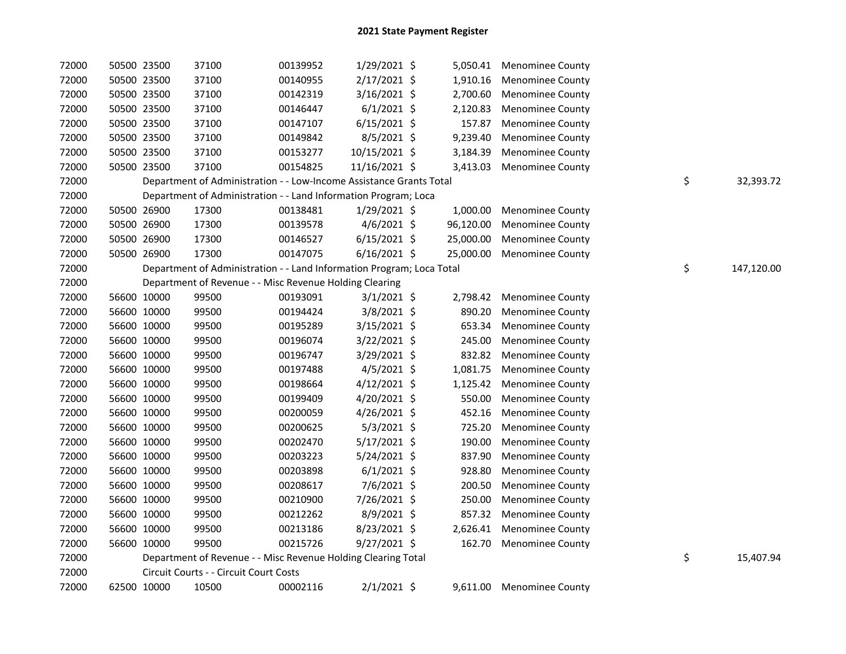| 72000 | 50500 23500 |             | 37100                                                                 | 00139952 | 1/29/2021 \$   | 5,050.41  | <b>Menominee County</b> |                  |
|-------|-------------|-------------|-----------------------------------------------------------------------|----------|----------------|-----------|-------------------------|------------------|
| 72000 | 50500 23500 |             | 37100                                                                 | 00140955 | 2/17/2021 \$   | 1,910.16  | <b>Menominee County</b> |                  |
| 72000 | 50500 23500 |             | 37100                                                                 | 00142319 | 3/16/2021 \$   | 2,700.60  | <b>Menominee County</b> |                  |
| 72000 | 50500 23500 |             | 37100                                                                 | 00146447 | $6/1/2021$ \$  | 2,120.83  | <b>Menominee County</b> |                  |
| 72000 | 50500 23500 |             | 37100                                                                 | 00147107 | $6/15/2021$ \$ | 157.87    | <b>Menominee County</b> |                  |
| 72000 |             | 50500 23500 | 37100                                                                 | 00149842 | $8/5/2021$ \$  | 9,239.40  | <b>Menominee County</b> |                  |
| 72000 |             | 50500 23500 | 37100                                                                 | 00153277 | 10/15/2021 \$  | 3,184.39  | <b>Menominee County</b> |                  |
| 72000 | 50500 23500 |             | 37100                                                                 | 00154825 | 11/16/2021 \$  | 3,413.03  | <b>Menominee County</b> |                  |
| 72000 |             |             | Department of Administration - - Low-Income Assistance Grants Total   |          |                |           |                         | \$<br>32,393.72  |
| 72000 |             |             | Department of Administration - - Land Information Program; Loca       |          |                |           |                         |                  |
| 72000 |             | 50500 26900 | 17300                                                                 | 00138481 | $1/29/2021$ \$ | 1,000.00  | Menominee County        |                  |
| 72000 |             | 50500 26900 | 17300                                                                 | 00139578 | $4/6/2021$ \$  | 96,120.00 | <b>Menominee County</b> |                  |
| 72000 | 50500 26900 |             | 17300                                                                 | 00146527 | $6/15/2021$ \$ | 25,000.00 | <b>Menominee County</b> |                  |
| 72000 | 50500 26900 |             | 17300                                                                 | 00147075 | $6/16/2021$ \$ | 25,000.00 | <b>Menominee County</b> |                  |
| 72000 |             |             | Department of Administration - - Land Information Program; Loca Total |          |                |           |                         | \$<br>147,120.00 |
| 72000 |             |             | Department of Revenue - - Misc Revenue Holding Clearing               |          |                |           |                         |                  |
| 72000 |             | 56600 10000 | 99500                                                                 | 00193091 | $3/1/2021$ \$  | 2,798.42  | <b>Menominee County</b> |                  |
| 72000 |             | 56600 10000 | 99500                                                                 | 00194424 | 3/8/2021 \$    | 890.20    | Menominee County        |                  |
| 72000 |             | 56600 10000 | 99500                                                                 | 00195289 | $3/15/2021$ \$ | 653.34    | <b>Menominee County</b> |                  |
| 72000 | 56600 10000 |             | 99500                                                                 | 00196074 | $3/22/2021$ \$ | 245.00    | <b>Menominee County</b> |                  |
| 72000 | 56600 10000 |             | 99500                                                                 | 00196747 | 3/29/2021 \$   | 832.82    | <b>Menominee County</b> |                  |
| 72000 | 56600 10000 |             | 99500                                                                 | 00197488 | $4/5/2021$ \$  | 1,081.75  | <b>Menominee County</b> |                  |
| 72000 | 56600 10000 |             | 99500                                                                 | 00198664 | $4/12/2021$ \$ | 1,125.42  | Menominee County        |                  |
| 72000 | 56600 10000 |             | 99500                                                                 | 00199409 | 4/20/2021 \$   | 550.00    | <b>Menominee County</b> |                  |
| 72000 | 56600 10000 |             | 99500                                                                 | 00200059 | $4/26/2021$ \$ | 452.16    | <b>Menominee County</b> |                  |
| 72000 | 56600 10000 |             | 99500                                                                 | 00200625 | $5/3/2021$ \$  | 725.20    | <b>Menominee County</b> |                  |
| 72000 | 56600 10000 |             | 99500                                                                 | 00202470 | $5/17/2021$ \$ | 190.00    | <b>Menominee County</b> |                  |
| 72000 | 56600 10000 |             | 99500                                                                 | 00203223 | 5/24/2021 \$   | 837.90    | <b>Menominee County</b> |                  |
| 72000 | 56600 10000 |             | 99500                                                                 | 00203898 | $6/1/2021$ \$  | 928.80    | <b>Menominee County</b> |                  |
| 72000 | 56600 10000 |             | 99500                                                                 | 00208617 | 7/6/2021 \$    | 200.50    | <b>Menominee County</b> |                  |
| 72000 | 56600 10000 |             | 99500                                                                 | 00210900 | 7/26/2021 \$   | 250.00    | <b>Menominee County</b> |                  |
| 72000 | 56600 10000 |             | 99500                                                                 | 00212262 | 8/9/2021 \$    | 857.32    | <b>Menominee County</b> |                  |
| 72000 | 56600 10000 |             | 99500                                                                 | 00213186 | 8/23/2021 \$   | 2,626.41  | <b>Menominee County</b> |                  |
| 72000 | 56600 10000 |             | 99500                                                                 | 00215726 | $9/27/2021$ \$ | 162.70    | <b>Menominee County</b> |                  |
| 72000 |             |             | Department of Revenue - - Misc Revenue Holding Clearing Total         |          |                |           |                         | \$<br>15,407.94  |
| 72000 |             |             | Circuit Courts - - Circuit Court Costs                                |          |                |           |                         |                  |
| 72000 | 62500 10000 |             | 10500                                                                 | 00002116 | $2/1/2021$ \$  | 9,611.00  | <b>Menominee County</b> |                  |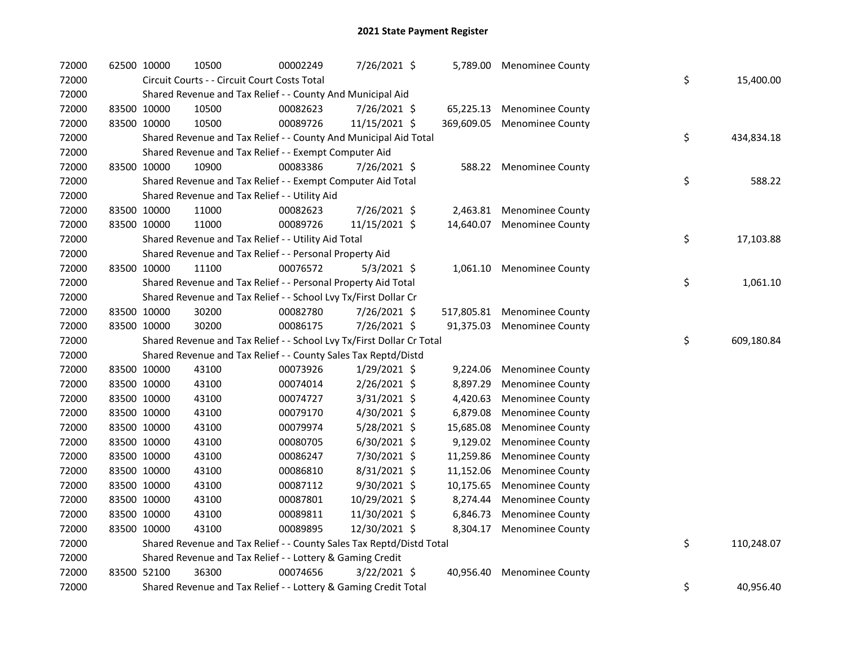| 72000 | 62500 10000 |             | 10500                                                                 | 00002249 | 7/26/2021 \$   |            | 5,789.00 Menominee County   |    |            |
|-------|-------------|-------------|-----------------------------------------------------------------------|----------|----------------|------------|-----------------------------|----|------------|
| 72000 |             |             | Circuit Courts - - Circuit Court Costs Total                          |          |                |            |                             | \$ | 15,400.00  |
| 72000 |             |             | Shared Revenue and Tax Relief - - County And Municipal Aid            |          |                |            |                             |    |            |
| 72000 |             | 83500 10000 | 10500                                                                 | 00082623 | 7/26/2021 \$   | 65,225.13  | <b>Menominee County</b>     |    |            |
| 72000 |             | 83500 10000 | 10500                                                                 | 00089726 | 11/15/2021 \$  | 369,609.05 | <b>Menominee County</b>     |    |            |
| 72000 |             |             | Shared Revenue and Tax Relief - - County And Municipal Aid Total      |          |                |            |                             | \$ | 434,834.18 |
| 72000 |             |             | Shared Revenue and Tax Relief - - Exempt Computer Aid                 |          |                |            |                             |    |            |
| 72000 |             | 83500 10000 | 10900                                                                 | 00083386 | 7/26/2021 \$   | 588.22     | <b>Menominee County</b>     |    |            |
| 72000 |             |             | Shared Revenue and Tax Relief - - Exempt Computer Aid Total           |          |                |            |                             | \$ | 588.22     |
| 72000 |             |             | Shared Revenue and Tax Relief - - Utility Aid                         |          |                |            |                             |    |            |
| 72000 |             | 83500 10000 | 11000                                                                 | 00082623 | 7/26/2021 \$   | 2,463.81   | <b>Menominee County</b>     |    |            |
| 72000 |             | 83500 10000 | 11000                                                                 | 00089726 | 11/15/2021 \$  | 14,640.07  | <b>Menominee County</b>     |    |            |
| 72000 |             |             | Shared Revenue and Tax Relief - - Utility Aid Total                   |          |                |            |                             | \$ | 17,103.88  |
| 72000 |             |             | Shared Revenue and Tax Relief - - Personal Property Aid               |          |                |            |                             |    |            |
| 72000 |             | 83500 10000 | 11100                                                                 | 00076572 | $5/3/2021$ \$  |            | 1,061.10 Menominee County   |    |            |
| 72000 |             |             | Shared Revenue and Tax Relief - - Personal Property Aid Total         |          |                |            |                             | \$ | 1,061.10   |
| 72000 |             |             | Shared Revenue and Tax Relief - - School Lvy Tx/First Dollar Cr       |          |                |            |                             |    |            |
| 72000 |             | 83500 10000 | 30200                                                                 | 00082780 | 7/26/2021 \$   |            | 517,805.81 Menominee County |    |            |
| 72000 |             | 83500 10000 | 30200                                                                 | 00086175 | 7/26/2021 \$   |            | 91,375.03 Menominee County  |    |            |
| 72000 |             |             | Shared Revenue and Tax Relief - - School Lvy Tx/First Dollar Cr Total |          |                |            |                             | \$ | 609,180.84 |
| 72000 |             |             | Shared Revenue and Tax Relief - - County Sales Tax Reptd/Distd        |          |                |            |                             |    |            |
| 72000 |             | 83500 10000 | 43100                                                                 | 00073926 | 1/29/2021 \$   | 9,224.06   | <b>Menominee County</b>     |    |            |
| 72000 |             | 83500 10000 | 43100                                                                 | 00074014 | 2/26/2021 \$   | 8,897.29   | <b>Menominee County</b>     |    |            |
| 72000 |             | 83500 10000 | 43100                                                                 | 00074727 | 3/31/2021 \$   | 4,420.63   | Menominee County            |    |            |
| 72000 |             | 83500 10000 | 43100                                                                 | 00079170 | 4/30/2021 \$   | 6,879.08   | <b>Menominee County</b>     |    |            |
| 72000 |             | 83500 10000 | 43100                                                                 | 00079974 | $5/28/2021$ \$ | 15,685.08  | <b>Menominee County</b>     |    |            |
| 72000 |             | 83500 10000 | 43100                                                                 | 00080705 | $6/30/2021$ \$ | 9,129.02   | <b>Menominee County</b>     |    |            |
| 72000 |             | 83500 10000 | 43100                                                                 | 00086247 | 7/30/2021 \$   | 11,259.86  | <b>Menominee County</b>     |    |            |
| 72000 |             | 83500 10000 | 43100                                                                 | 00086810 | 8/31/2021 \$   | 11,152.06  | <b>Menominee County</b>     |    |            |
| 72000 |             | 83500 10000 | 43100                                                                 | 00087112 | 9/30/2021 \$   | 10,175.65  | <b>Menominee County</b>     |    |            |
| 72000 |             | 83500 10000 | 43100                                                                 | 00087801 | 10/29/2021 \$  | 8,274.44   | <b>Menominee County</b>     |    |            |
| 72000 |             | 83500 10000 | 43100                                                                 | 00089811 | 11/30/2021 \$  | 6,846.73   | <b>Menominee County</b>     |    |            |
| 72000 |             | 83500 10000 | 43100                                                                 | 00089895 | 12/30/2021 \$  | 8,304.17   | Menominee County            |    |            |
| 72000 |             |             | Shared Revenue and Tax Relief - - County Sales Tax Reptd/Distd Total  |          |                |            |                             | \$ | 110,248.07 |
| 72000 |             |             | Shared Revenue and Tax Relief - - Lottery & Gaming Credit             |          |                |            |                             |    |            |
| 72000 |             | 83500 52100 | 36300                                                                 | 00074656 | $3/22/2021$ \$ | 40,956.40  | <b>Menominee County</b>     |    |            |
| 72000 |             |             | Shared Revenue and Tax Relief - - Lottery & Gaming Credit Total       |          |                |            |                             | \$ | 40,956.40  |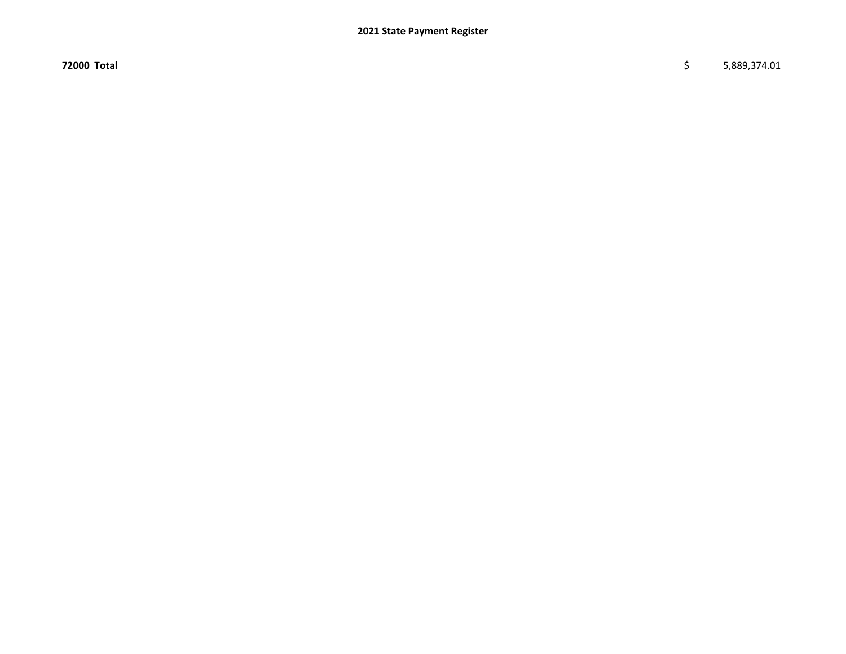72000 Total \$ 5,889,374.01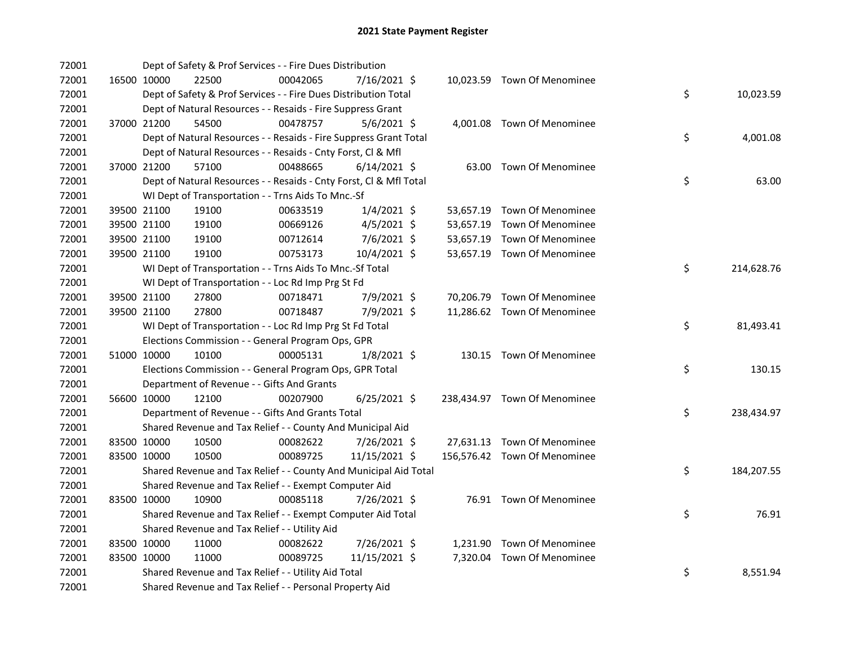| 72001 |             | Dept of Safety & Prof Services - - Fire Dues Distribution          |          |                |  |                              |    |            |
|-------|-------------|--------------------------------------------------------------------|----------|----------------|--|------------------------------|----|------------|
| 72001 | 16500 10000 | 22500                                                              | 00042065 | 7/16/2021 \$   |  | 10,023.59 Town Of Menominee  |    |            |
| 72001 |             | Dept of Safety & Prof Services - - Fire Dues Distribution Total    |          |                |  |                              | \$ | 10,023.59  |
| 72001 |             | Dept of Natural Resources - - Resaids - Fire Suppress Grant        |          |                |  |                              |    |            |
| 72001 | 37000 21200 | 54500                                                              | 00478757 | $5/6/2021$ \$  |  | 4,001.08 Town Of Menominee   |    |            |
| 72001 |             | Dept of Natural Resources - - Resaids - Fire Suppress Grant Total  |          |                |  |                              | \$ | 4,001.08   |
| 72001 |             | Dept of Natural Resources - - Resaids - Cnty Forst, Cl & Mfl       |          |                |  |                              |    |            |
| 72001 | 37000 21200 | 57100                                                              | 00488665 | $6/14/2021$ \$ |  | 63.00 Town Of Menominee      |    |            |
| 72001 |             | Dept of Natural Resources - - Resaids - Cnty Forst, Cl & Mfl Total |          |                |  |                              | \$ | 63.00      |
| 72001 |             | WI Dept of Transportation - - Trns Aids To Mnc.-Sf                 |          |                |  |                              |    |            |
| 72001 | 39500 21100 | 19100                                                              | 00633519 | $1/4/2021$ \$  |  | 53,657.19 Town Of Menominee  |    |            |
| 72001 | 39500 21100 | 19100                                                              | 00669126 | $4/5/2021$ \$  |  | 53,657.19 Town Of Menominee  |    |            |
| 72001 | 39500 21100 | 19100                                                              | 00712614 | $7/6/2021$ \$  |  | 53,657.19 Town Of Menominee  |    |            |
| 72001 | 39500 21100 | 19100                                                              | 00753173 | 10/4/2021 \$   |  | 53,657.19 Town Of Menominee  |    |            |
| 72001 |             | WI Dept of Transportation - - Trns Aids To Mnc.-Sf Total           |          |                |  |                              | \$ | 214,628.76 |
| 72001 |             | WI Dept of Transportation - - Loc Rd Imp Prg St Fd                 |          |                |  |                              |    |            |
| 72001 | 39500 21100 | 27800                                                              | 00718471 | 7/9/2021 \$    |  | 70,206.79 Town Of Menominee  |    |            |
| 72001 | 39500 21100 | 27800                                                              | 00718487 | 7/9/2021 \$    |  | 11,286.62 Town Of Menominee  |    |            |
| 72001 |             | WI Dept of Transportation - - Loc Rd Imp Prg St Fd Total           |          |                |  |                              | \$ | 81,493.41  |
| 72001 |             | Elections Commission - - General Program Ops, GPR                  |          |                |  |                              |    |            |
| 72001 | 51000 10000 | 10100                                                              | 00005131 | $1/8/2021$ \$  |  | 130.15 Town Of Menominee     |    |            |
| 72001 |             | Elections Commission - - General Program Ops, GPR Total            |          |                |  |                              | \$ | 130.15     |
| 72001 |             | Department of Revenue - - Gifts And Grants                         |          |                |  |                              |    |            |
| 72001 | 56600 10000 | 12100                                                              | 00207900 | $6/25/2021$ \$ |  | 238,434.97 Town Of Menominee |    |            |
| 72001 |             | Department of Revenue - - Gifts And Grants Total                   |          |                |  |                              | \$ | 238,434.97 |
| 72001 |             | Shared Revenue and Tax Relief - - County And Municipal Aid         |          |                |  |                              |    |            |
| 72001 | 83500 10000 | 10500                                                              | 00082622 | 7/26/2021 \$   |  | 27,631.13 Town Of Menominee  |    |            |
| 72001 | 83500 10000 | 10500                                                              | 00089725 | 11/15/2021 \$  |  | 156,576.42 Town Of Menominee |    |            |
| 72001 |             | Shared Revenue and Tax Relief - - County And Municipal Aid Total   |          |                |  |                              | \$ | 184,207.55 |
| 72001 |             | Shared Revenue and Tax Relief - - Exempt Computer Aid              |          |                |  |                              |    |            |
| 72001 | 83500 10000 | 10900                                                              | 00085118 | 7/26/2021 \$   |  | 76.91 Town Of Menominee      |    |            |
| 72001 |             | Shared Revenue and Tax Relief - - Exempt Computer Aid Total        |          |                |  |                              | \$ | 76.91      |
| 72001 |             | Shared Revenue and Tax Relief - - Utility Aid                      |          |                |  |                              |    |            |
| 72001 | 83500 10000 | 11000                                                              | 00082622 | 7/26/2021 \$   |  | 1,231.90 Town Of Menominee   |    |            |
| 72001 | 83500 10000 | 11000                                                              | 00089725 | 11/15/2021 \$  |  | 7,320.04 Town Of Menominee   |    |            |
| 72001 |             | Shared Revenue and Tax Relief - - Utility Aid Total                |          |                |  |                              | \$ | 8,551.94   |
| 72001 |             | Shared Revenue and Tax Relief - - Personal Property Aid            |          |                |  |                              |    |            |